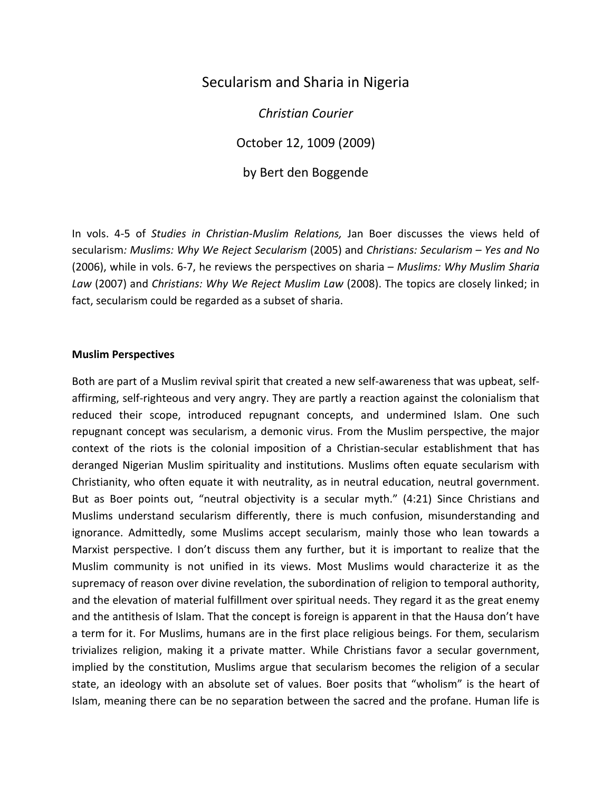## Secularism and Sharia in Nigeria

*Christian Courier*

October 12, 1009 (2009)

by Bert den Boggende

In vols. 4-5 of *Studies in Christian-Muslim Relations,* Jan Boer discusses the views held of secularism*: Muslims: Why We Reject Secularism* (2005) and *Christians: Secularism Yes and No* (2006), while in vols. 6-7, he reviews the perspectives on sharia *Muslims: Why Muslim Sharia Law* (2007) and *Christians: Why We Reject Muslim Law* (2008). The topics are closely linked; in fact, secularism could be regarded as a subset of sharia.

## **Muslim Perspectives**

Both are part of a Muslim revival spirit that created a new self-awareness that was upbeat, selfaffirming, self-righteous and very angry. They are partly a reaction against the colonialism that reduced their scope, introduced repugnant concepts, and undermined Islam. One such repugnant concept was secularism, a demonic virus. From the Muslim perspective, the major context of the riots is the colonial imposition of a Christian-secular establishment that has deranged Nigerian Muslim spirituality and institutions. Muslims often equate secularism with Christianity, who often equate it with neutrality, as in neutral education, neutral government. But as Boer points out, "neutral objectivity is a secular myth." (4:21) Since Christians and Muslims understand secularism differently, there is much confusion, misunderstanding and ignorance. Admittedly, some Muslims accept secularism, mainly those who lean towards a Marxist perspective. I don't discuss them any further, but it is important to realize that the Muslim community is not unified in its views. Most Muslims would characterize it as the supremacy of reason over divine revelation, the subordination of religion to temporal authority, and the elevation of material fulfillment over spiritual needs. They regard it as the great enemy and the antithesis of Islam. That the concept is foreign is apparent in that the Hausa don't have a term for it. For Muslims, humans are in the first place religious beings. For them, secularism trivializes religion, making it a private matter. While Christians favor a secular government, implied by the constitution, Muslims argue that secularism becomes the religion of a secular state, an ideology with an absolute set of values. Boer posits that "wholism" is the heart of Islam, meaning there can be no separation between the sacred and the profane. Human life is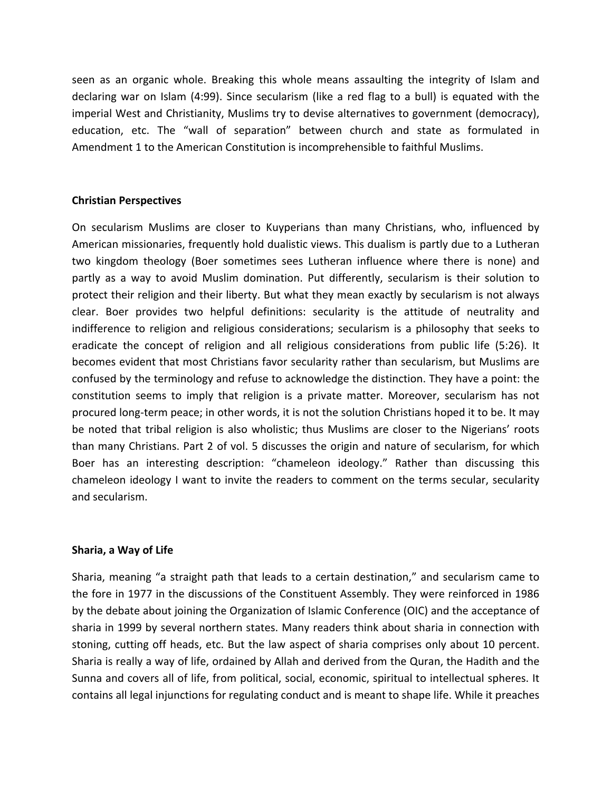seen as an organic whole. Breaking this whole means assaulting the integrity of Islam and declaring war on Islam (4:99). Since secularism (like a red flag to a bull) is equated with the imperial West and Christianity, Muslims try to devise alternatives to government (democracy), education, etc. The "wall of separation" between church and state as formulated in Amendment 1 to the American Constitution is incomprehensible to faithful Muslims.

## **Christian Perspectives**

On secularism Muslims are closer to Kuyperians than many Christians, who, influenced by American missionaries, frequently hold dualistic views. This dualism is partly due to a Lutheran two kingdom theology (Boer sometimes sees Lutheran influence where there is none) and partly as a way to avoid Muslim domination. Put differently, secularism is their solution to protect their religion and their liberty. But what they mean exactly by secularism is not always clear. Boer provides two helpful definitions: secularity is the attitude of neutrality and indifference to religion and religious considerations; secularism is a philosophy that seeks to eradicate the concept of religion and all religious considerations from public life (5:26). It becomes evident that most Christians favor secularity rather than secularism, but Muslims are confused by the terminology and refuse to acknowledge the distinction. They have a point: the constitution seems to imply that religion is a private matter. Moreover, secularism has not procured long-term peace; in other words, it is not the solution Christians hoped it to be. It may be noted that tribal religion is also wholistic; thus Muslims are closer to the Nigerians' roots than many Christians. Part 2 of vol. 5 discusses the origin and nature of secularism, for which Boer has an interesting description: "chameleon ideology." Rather than discussing this chameleon ideology I want to invite the readers to comment on the terms secular, secularity and secularism.

## **Sharia, a Way of Life**

Sharia, meaning "a straight path that leads to a certain destination," and secularism came to the fore in 1977 in the discussions of the Constituent Assembly. They were reinforced in 1986 by the debate about joining the Organization of Islamic Conference (OIC) and the acceptance of sharia in 1999 by several northern states. Many readers think about sharia in connection with stoning, cutting off heads, etc. But the law aspect of sharia comprises only about 10 percent. Sharia is really a way of life, ordained by Allah and derived from the Quran, the Hadith and the Sunna and covers all of life, from political, social, economic, spiritual to intellectual spheres. It contains all legal injunctions for regulating conduct and is meant to shape life. While it preaches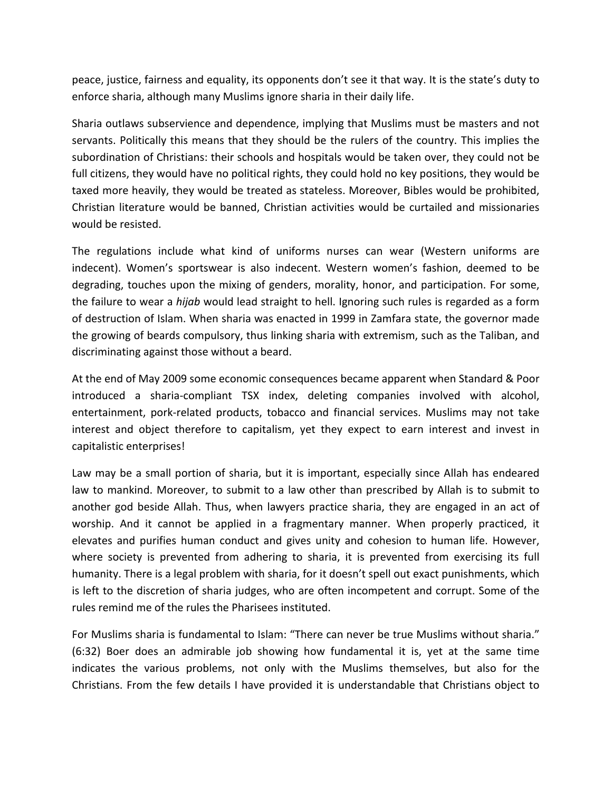peace, justice, fairness and equality, its opponents don't see it that way. It is the state's duty to enforce sharia, although many Muslims ignore sharia in their daily life.

Sharia outlaws subservience and dependence, implying that Muslims must be masters and not servants. Politically this means that they should be the rulers of the country. This implies the subordination of Christians: their schools and hospitals would be taken over, they could not be full citizens, they would have no political rights, they could hold no key positions, they would be taxed more heavily, they would be treated as stateless. Moreover, Bibles would be prohibited, Christian literature would be banned, Christian activities would be curtailed and missionaries would be resisted.

The regulations include what kind of uniforms nurses can wear (Western uniforms are indecent). Women's sportswear is also indecent. Western women's fashion, deemed to be degrading, touches upon the mixing of genders, morality, honor, and participation. For some, the failure to wear a *hijab* would lead straight to hell. Ignoring such rules is regarded as a form of destruction of Islam. When sharia was enacted in 1999 in Zamfara state, the governor made the growing of beards compulsory, thus linking sharia with extremism, such as the Taliban, and discriminating against those without a beard.

At the end of May 2009 some economic consequences became apparent when Standard & Poor introduced a sharia-compliant TSX index, deleting companies involved with alcohol, entertainment, pork-related products, tobacco and financial services. Muslims may not take interest and object therefore to capitalism, yet they expect to earn interest and invest in capitalistic enterprises!

Law may be a small portion of sharia, but it is important, especially since Allah has endeared law to mankind. Moreover, to submit to a law other than prescribed by Allah is to submit to another god beside Allah. Thus, when lawyers practice sharia, they are engaged in an act of worship. And it cannot be applied in a fragmentary manner. When properly practiced, it elevates and purifies human conduct and gives unity and cohesion to human life. However, where society is prevented from adhering to sharia, it is prevented from exercising its full humanity. There is a legal problem with sharia, for it doesn't spell out exact punishments, which is left to the discretion of sharia judges, who are often incompetent and corrupt. Some of the rules remind me of the rules the Pharisees instituted.

For Muslims sharia is fundamental to Islam: "There can never be true Muslims without sharia." (6:32) Boer does an admirable job showing how fundamental it is, yet at the same time indicates the various problems, not only with the Muslims themselves, but also for the Christians. From the few details I have provided it is understandable that Christians object to